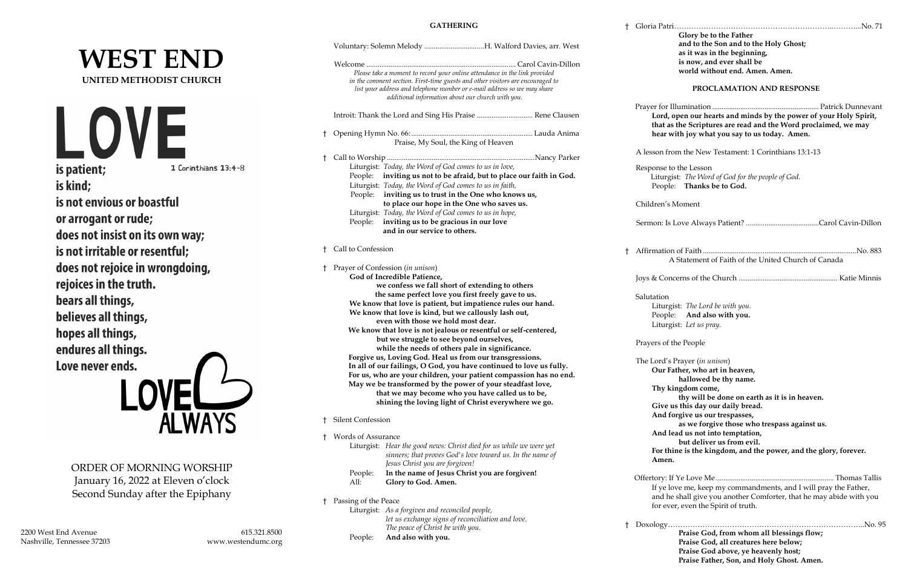# **WEST END UNITED METHODIST CHURCH**

LOVE is patient; 1 Corinthians 13:4-8 is kind; is not envious or boastful or arrogant or rude; does not insist on its own way; is not irritable or resentful; does not rejoice in wrongdoing, rejoices in the truth. bears all things, believes all things, hopes all things, endures all things. Love never ends. **ALWAYS** 

ORDER OF MORNING WORSHIP January 16, 2022 at Eleven o'clock Second Sunday after the Epiphany

Nashville, Tennessee 37203 www.westendumc.org

## **GATHERING**

|    |                                                                                                                                                                                                                                                                                                                                                                                     | Voluntary: Solemn Melody H. Walford Davies, arr. West                                                                                                                                                                                                                                         |              |                                     |                                                            |
|----|-------------------------------------------------------------------------------------------------------------------------------------------------------------------------------------------------------------------------------------------------------------------------------------------------------------------------------------------------------------------------------------|-----------------------------------------------------------------------------------------------------------------------------------------------------------------------------------------------------------------------------------------------------------------------------------------------|--------------|-------------------------------------|------------------------------------------------------------|
|    |                                                                                                                                                                                                                                                                                                                                                                                     | Please take a moment to record your online attendance in the link provided<br>in the comment section. First-time guests and other visitors are encouraged to<br>list your address and telephone number or e-mail address so we may share<br>additional information about our church with you. |              |                                     |                                                            |
|    | Introit: Thank the Lord and Sing His Praise  Rene Clausen                                                                                                                                                                                                                                                                                                                           |                                                                                                                                                                                                                                                                                               |              | Prayer for Il<br>Lord, o<br>that as |                                                            |
|    | Praise, My Soul, the King of Heaven                                                                                                                                                                                                                                                                                                                                                 |                                                                                                                                                                                                                                                                                               |              | hear w                              |                                                            |
|    | † Call to Worship …………………………………………………………………………Nancy Parker                                                                                                                                                                                                                                                                                                                          |                                                                                                                                                                                                                                                                                               |              |                                     | A lesson fro                                               |
|    |                                                                                                                                                                                                                                                                                                                                                                                     | Liturgist: Today, the Word of God comes to us in love,<br>People: inviting us not to be afraid, but to place our faith in God.<br>Liturgist: Today, the Word of God comes to us in faith,<br>People: inviting us to trust in the One who knows us,                                            |              |                                     | Response to<br>Liturgi<br>People                           |
|    | People:                                                                                                                                                                                                                                                                                                                                                                             | to place our hope in the One who saves us.<br>Liturgist: Today, the Word of God comes to us in hope,<br>inviting us to be gracious in our love<br>and in our service to others.                                                                                                               |              |                                     | Children's I<br>Sermon: Is 1                               |
|    | † Call to Confession                                                                                                                                                                                                                                                                                                                                                                |                                                                                                                                                                                                                                                                                               | $^{\dagger}$ | Affirmation<br>А                    |                                                            |
| t  |                                                                                                                                                                                                                                                                                                                                                                                     | Prayer of Confession (in unison)<br>God of Incredible Patience,<br>we confess we fall short of extending to others                                                                                                                                                                            |              |                                     | Joys & Cone                                                |
|    | the same perfect love you first freely gave to us.<br>We know that love is patient, but impatience rules our hand.<br>We know that love is kind, but we callously lash out,<br>even with those we hold most dear.<br>We know that love is not jealous or resentful or self-centered,<br>but we struggle to see beyond ourselves,<br>while the needs of others pale in significance. |                                                                                                                                                                                                                                                                                               |              |                                     | Salutation<br>Liturgi<br>People<br>Liturgi<br>Prayers of t |
|    | Forgive us, Loving God. Heal us from our transgressions.<br>In all of our failings, O God, you have continued to love us fully.<br>For us, who are your children, your patient compassion has no end.<br>May we be transformed by the power of your steadfast love,<br>that we may become who you have called us to be,                                                             |                                                                                                                                                                                                                                                                                               |              |                                     | The Lord's<br>Our Fa<br>Thy ki                             |
|    |                                                                                                                                                                                                                                                                                                                                                                                     | shining the loving light of Christ everywhere we go.                                                                                                                                                                                                                                          |              |                                     | Give u<br>And fo                                           |
| Ť. |                                                                                                                                                                                                                                                                                                                                                                                     | Silent Confession                                                                                                                                                                                                                                                                             |              |                                     |                                                            |
| t  | Words of Assurance                                                                                                                                                                                                                                                                                                                                                                  | Liturgist: Hear the good news: Christ died for us while we were yet<br>sinners; that proves God's love toward us. In the name of<br>Jesus Christ you are forgiven!                                                                                                                            |              |                                     | And le<br>For thi<br>Amen.                                 |
|    | People:<br>All:                                                                                                                                                                                                                                                                                                                                                                     | In the name of Jesus Christ you are forgiven!<br>Glory to God. Amen.                                                                                                                                                                                                                          |              |                                     | Offertory: If<br>If ye lo                                  |
| Ť. | Passing of the Peace                                                                                                                                                                                                                                                                                                                                                                | Liturgist: As a forgiven and reconciled people,<br>let us exchange signs of reconciliation and love.<br>The peace of Christ be with you.                                                                                                                                                      |              | Ť.                                  | and he<br>for eve<br>Doxology                              |

People: **And also with you.**

| t  |                                                                                                                                                                                       |
|----|---------------------------------------------------------------------------------------------------------------------------------------------------------------------------------------|
|    | Glory be to the Father                                                                                                                                                                |
|    | and to the Son and to the Holy Ghost;                                                                                                                                                 |
|    | as it was in the beginning,                                                                                                                                                           |
|    | is now, and ever shall be                                                                                                                                                             |
|    | world without end. Amen. Amen.                                                                                                                                                        |
|    | PROCLAMATION AND RESPONSE                                                                                                                                                             |
|    | Lord, open our hearts and minds by the power of your Holy Spirit,<br>that as the Scriptures are read and the Word proclaimed, we may<br>hear with joy what you say to us today. Amen. |
|    | A lesson from the New Testament: 1 Corinthians 13:1-13                                                                                                                                |
|    | Response to the Lesson                                                                                                                                                                |
|    | Liturgist: The Word of God for the people of God.                                                                                                                                     |
|    | People: Thanks be to God.                                                                                                                                                             |
|    |                                                                                                                                                                                       |
|    | Children's Moment                                                                                                                                                                     |
|    |                                                                                                                                                                                       |
|    |                                                                                                                                                                                       |
| t. |                                                                                                                                                                                       |
|    | A Statement of Faith of the United Church of Canada                                                                                                                                   |
|    |                                                                                                                                                                                       |
|    |                                                                                                                                                                                       |
|    | Salutation                                                                                                                                                                            |
|    | Liturgist: The Lord be with you.                                                                                                                                                      |
|    | People: And also with you.                                                                                                                                                            |
|    | Liturgist: Let us pray.                                                                                                                                                               |
|    |                                                                                                                                                                                       |
|    | Prayers of the People                                                                                                                                                                 |
|    | The Lord's Prayer (in unison)                                                                                                                                                         |
|    | Our Father, who art in heaven,                                                                                                                                                        |
|    | hallowed be thy name.                                                                                                                                                                 |
|    | Thy kingdom come,                                                                                                                                                                     |
|    | thy will be done on earth as it is in heaven.                                                                                                                                         |
|    | Give us this day our daily bread.                                                                                                                                                     |
|    | And forgive us our trespasses,                                                                                                                                                        |
|    | as we forgive those who trespass against us.                                                                                                                                          |
|    | And lead us not into temptation,                                                                                                                                                      |
|    | but deliver us from evil.                                                                                                                                                             |
|    | For thine is the kingdom, and the power, and the glory, forever.                                                                                                                      |
|    | Amen.                                                                                                                                                                                 |
|    |                                                                                                                                                                                       |
|    | If ye love me, keep my commandments, and I will pray the Father,                                                                                                                      |
|    | and he shall give you another Comforter, that he may abide with you                                                                                                                   |
|    | for ever, even the Spirit of truth.                                                                                                                                                   |
|    |                                                                                                                                                                                       |
| Ť. |                                                                                                                                                                                       |
|    | Praise God, from whom all blessings flow;                                                                                                                                             |
|    | Praise God, all creatures here below;                                                                                                                                                 |
|    | Praise God above, ye heavenly host;                                                                                                                                                   |
|    | Praise Father, Son, and Holy Ghost. Amen.                                                                                                                                             |